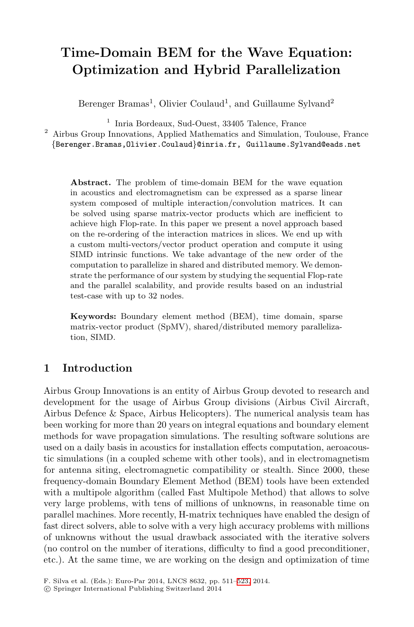# **Time-Domain BEM for the Wave Equation: Optimization and Hybrid Parallelization**

Berenger Bramas<sup>1</sup>, Olivier Coulaud<sup>1</sup>, and Guillaume Sylvand<sup>2</sup>

<sup>1</sup> Inria Bordeaux, Sud-Ouest, 33405 Talence, France <sup>2</sup> Airbus Group Innovations, Applied Mathematics and Simulation, Toulouse, France *{*Berenger.Bramas,Olivier.Coulaud*}*@inria.fr, Guillaume.Sylvand@eads.net

**Abstract.** The problem of time-domain BEM for the wave equation in acoustics and electromagnetism can be expressed as a sparse linear system composed of multiple interaction/convolution matrices. It can be solved using sparse matrix-vector products which are inefficient to achieve high Flop-rate. In this paper we present a novel approach based on the re-ordering of the interaction matrices in slices. We end up with a custom multi-vectors/vector product operation and compute it using SIMD intrinsic functions. We take advantage of the new order of the computation to parallelize in shared and distributed memory. We demonstrate the performance of our system by studying the sequential Flop-rate and the parallel scalability, and provide results based on an industrial test-case with up to 32 nodes.

**Keywords:** Boundary element method (BEM), time domain, sparse matrix-vector product (SpMV), shared/distributed memory parallelization, SIMD.

# **1 Introduction**

Airbus Group Innovations is an entity of Airbus Group devoted to research and development for the usage of Airbus Group divisions (Airbus Civil Aircraft, Airbus Defence & Space, Airbus Helicopters). The numerical analysis team has been working for more than 20 years on integral equations and boundary element methods for wave propagation simulations. The resulting software solutions are used on a daily basis in acoustics for installation effects computation, aeroacoustic simulations (in a coupled scheme with other tools), and in electromagnetism for antenna siting, electromagnetic compatibility or stealth. Since 2000, these frequency-domain Boundary Element Method (BEM) tools have been extended with a multipole algorithm ([calle](#page-12-0)d Fast Multipole Method) that allows to solve very large problems, with tens of millions of unknowns, in reasonable time on parallel machines. More recently, H-matrix techniques have enabled the design of fast direct solvers, able to solve with a very high accuracy problems with millions of unknowns without the usual drawback associated with the iterative solvers (no control on the number of iterations, difficulty to find a good preconditioner, etc.). At the same time, we are working on the design and optimization of time

F. Silva et al. (Eds.): Euro-Par 2014, LNCS 8632, pp. 511–523, 2014.

<sup>-</sup>c Springer International Publishing Switzerland 2014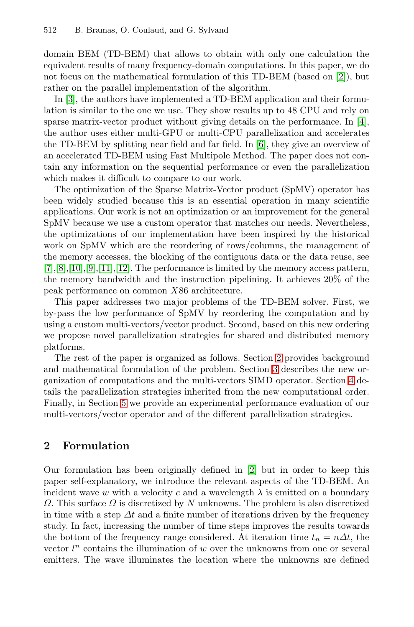domain BEM (TD-BEM) that al[low](#page-12-1)s to obtain with only one calculation the equivalent results of many frequency-domain computations. In this paper, we do not focus on the mathematical formulation of this TD-BEM (based on [2]), but rather on the parallel implementation of the algorithm.

In [3], the authors have implemented a TD-BEM application and their formulation is similar to the one we use. They show results up to 48 CPU and rely on sparse matrix-vector product without giving details on the performance. In [4], the author uses either multi-GPU or multi-CPU parallelization and accelerates the TD-BEM by splitting near field and far field. In [6], they give an overview of an accelerated TD-BEM using Fast Multipole Method. The paper does not contain any information on the sequential performance or even the parallelization [wh](#page-12-2)ich makes it difficult to compare to our work.

The optimization of the Sparse Matrix-Vector product (SpMV) operator has been widely studied because this is an essential operation in many scientific applications. Our work is not an optimization or an improvement for the general SpMV because we use a custom operator that matches our needs. Nevertheless, the optimizations of our implementation have been inspired by the historical work on SpMV which are the reordering of rows/columns, the management of the memory accesses, the blocking of the contiguous data or the data reuse, see  $[7], [8], [10], [9], [11], [12]$ . The performanc[e i](#page-1-0)s limited by the memory access pattern, the memory bandwidth and the inst[ruc](#page-3-0)tion pipelining. It achieves 20% of the peak performance on common X86 architecture.

<span id="page-1-0"></span>This paper addresses two major problems of the TD[-B](#page-7-0)EM solver. First, we [by-](#page-7-1)pass the low performance of SpMV by reordering the computation and by using a custom multi-vectors/vector product. Second, based on this new ordering we propose novel parallelization strategies for shared and distributed memory platforms.

The rest of the paper is organized as follows. Section 2 provides background and mathematical formulation of the problem. Section 3 describes the new organization of computations and [th](#page-11-0)e multi-vectors SIMD operator. Section 4 details the parallelization strategies inherited from the new computational order. Finally, in Section 5 we provide an experimental performance evaluation of our multi-vectors/vector operator and of the different parallelization strategies.

# **2 Formulation**

Our formulation has been originally defined in [2] but in order to keep this paper self-explanatory, we introduce the relevant aspects of the TD-BEM. An incident wave w with a velocity c and a wavelength  $\lambda$  is emitted on a boundary  $\Omega$ . This surface  $\Omega$  is discretized by N unknowns. The problem is also discretized in time with a step  $\Delta t$  and a finite number of iterations driven by the frequency study. In fact, increasing the number of time steps improves the results towards the bottom of the frequency range considered. At iteration time  $t_n = n\Delta t$ , the vector  $l^n$  contains the illumination of w over the unknowns from one or several emitters. The wave illuminates the location where the unknowns are defined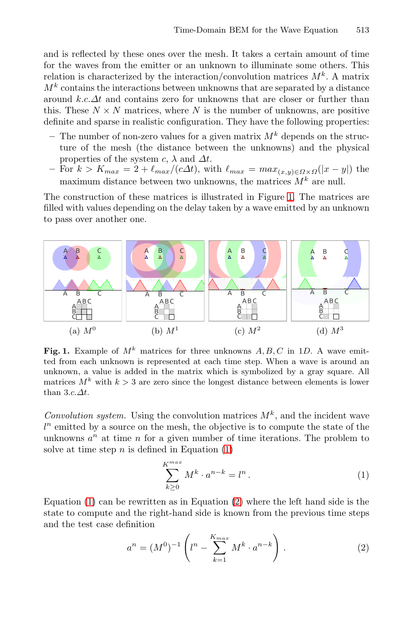<span id="page-2-0"></span>and is reflected by these ones over the mesh. It takes a certain amount of time for the waves from the emitter or an unknown to illuminate some others. This relation is characterized by the interaction/convolution matrices  $M<sup>k</sup>$ . A matrix  $M<sup>k</sup>$  contains the interactions between unknowns that are separated by a distance around  $k.c.\Delta t$  and contains zero for unknowns that are closer or further than this. These  $N \times N$  matrices, where N is [th](#page-2-0)e number of unknowns, are positive definite and sparse in realistic configuration. They have the following properties:

- The number of non-zero values for a given matrix  $M^k$  depends on the structure of the mesh (the distance between the unknowns) and the physical properties of the system c,  $\lambda$  and  $\Delta t$ .
- $-\text{ For } k > K_{max} = 2 + \ell_{max}/(c\Delta t)$ , with  $\ell_{max} = max_{(x,y)\in\Omega\times\Omega}(|x-y|)$  the maximum distance between two unknowns, the matrices  $M^k$  are null.

The construction of these matrices is illustrated in Figure 1. The matrices are filled with values depending on the delay taken by a wave emitted by an unknown to pass over another one.



**Fig. 1.** Example of  $M^k$  matrices for three unknowns  $A, B, C$  in 1D. A wave emitted from each unknown is r[ep](#page-2-1)resented at each time step. When a wave is around an unknown, a value is added in the matrix which is symbolized by a gray square. All matrices  $M^k$  with  $k > 3$  are zero since the longest distance between elements is lower than  $3.c.\Delta t$ .

*Convolution system.* Using [the](#page-2-2) convolution matrices  $M^k$ , and the incident wave  $l<sup>n</sup>$  emitted by a source on the mesh, the objective is to compute the state of the unknowns  $a^n$  at time n for a given number of time iterations. The problem to solve at time step  $n$  is defined in Equation  $(1)$ 

<span id="page-2-2"></span><span id="page-2-1"></span>
$$
\sum_{k\geq 0}^{K^{max}} M^k \cdot a^{n-k} = l^n.
$$
 (1)

Equation  $(1)$  can be rewritten as in Equation  $(2)$  where the left hand side is the state to compute and the right-hand side is known from the previous time steps and the test case definition

$$
a^{n} = (M^{0})^{-1} \left( l^{n} - \sum_{k=1}^{K_{max}} M^{k} \cdot a^{n-k} \right). \tag{2}
$$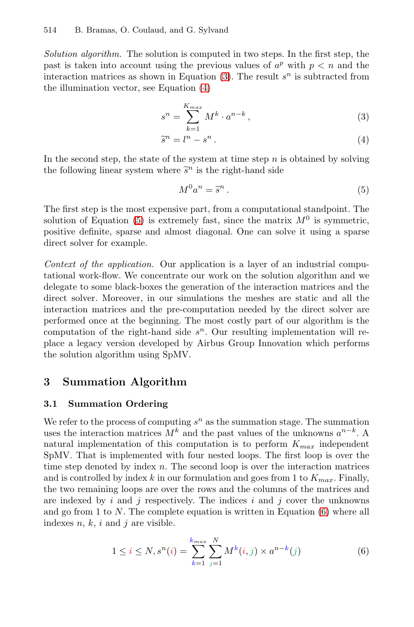*Solution algorithm.* The solution is computed in two steps. In the first step, the past is taken into account using the previous values of  $a^p$  with  $p < n$  and the interaction matrices as shown in Equation (3). The result  $s^n$  is subtracted from the illumination vector, see Equation  $(4)$ 

<span id="page-3-3"></span><span id="page-3-2"></span>
$$
s^n = \sum_{k=1}^{K_{max}} M^k \cdot a^{n-k},\tag{3}
$$

$$
\widetilde{s}^n = l^n - s^n. \tag{4}
$$

In the second step, the state of the system at time step  $n$  is obtained by solving the following linear system where  $\tilde{s}^n$  is the right-hand side

$$
M^0 a^n = \tilde{s}^n. \tag{5}
$$

<span id="page-3-0"></span>The first step is the most expensive part, from a computational standpoint. The solution of Equation (5) is extremely fast, since the matrix  $M^0$  is symmetric, positive definite, sparse and almost diagonal. One can solve it using a sparse direct solver for example.

*Context of the application.* Our application is a layer of an industrial computational work-flow. We concentrate our work on the solution algorithm and we delegate to some black-boxes the generation of the interaction matrices and the direct solver. Moreover, in our simulations the meshes are static and all the interaction matrices and the pre-computation needed by the direct solver are performed once at the beginning. The most costly part of our algorithm is the computation of the right-hand side  $s<sup>n</sup>$ . Our resulting implementation will replace a legacy version developed by Airbus Group Innovation which performs the solution algorithm using SpMV.

# <span id="page-3-1"></span>**3 Summation Algorithm**

## **3.1 Summation Ordering**

We refer to the process of computing  $s^n$  as the su[mm](#page-3-1)ation stage. The summation uses the interaction matrices  $M^k$  and the past values of the unknowns  $a^{n-k}$ . A natural implementation of this computation is to perform  $K_{max}$  independent SpMV. That is implemented with four nested loops. The first loop is over the time step denoted by index  $n$ . The second loop is over the interaction matrices and is controlled by index k in our formulation and goes from 1 to  $K_{max}$ . Finally, the two remaining loops are over the rows and the columns of the matrices and are indexed by  $i$  and  $j$  respectively. The indices  $i$  and  $j$  cover the unknowns and go from 1 to  $N$ . The complete equation is written in Equation  $(6)$  where all indexes  $n, k, i$  and j are visible.

$$
1 \le i \le N, s^n(i) = \sum_{k=1}^{k_{max}} \sum_{j=1}^{N} M^k(i, j) \times a^{n-k}(j)
$$
(6)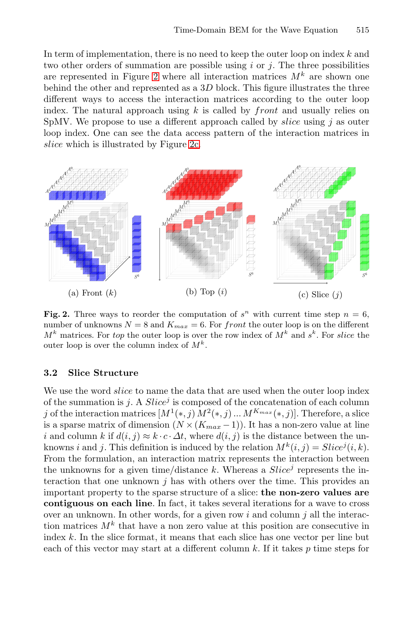<span id="page-4-0"></span>In term of imple[ment](#page-4-0)ation, there is no need to keep the outer loop on index  $k$  and two other orders of summation are possible using  $i$  or  $j$ . The three possibilities are represented in Figure 2 where all interaction matrices  $M^k$  are shown one behind the other and represented as a  $3D$  block. This figure illustrates the three different ways to access the interaction matrices according to the outer loop index. The natural approach using  $k$  is called by front and usually relies on SpMV. We propose to use a different approach called by *slice* using  $j$  as outer loop index. One can see the data access pattern of the interaction matrices in slice which is illustrated by Figure 2c.



**Fig. 2.** Three ways to reorder the computation of  $s^n$  with current time step  $n = 6$ , number of unknowns  $N = 8$  and  $K_{max} = 6$ . For *front* the outer loop is on the different  $M^k$  matrices. For *top* the outer loop is over the row index of  $M^k$  and  $s^k$ . For *slice* the outer loop is over the column index of  $M^k$ .

## **3.2 Slice Structure**

We use the word *slice* to name the data that are used when the outer loop index of the summation is j. A  $Slice<sup>j</sup>$  is composed of the concatenation of each column j of the interaction matrices  $[M^1(*, j) M^2(*, j) ... M^{K_{max}}(*, j)]$ . Therefore, a slice is a sparse matrix of dimension  $(N \times (K_{max} - 1))$ . It has a non-zero value at line i and column k if  $d(i, j) \approx k \cdot c \cdot \Delta t$ , where  $d(i, j)$  is the distance between the unknowns i and j. This definition is induced by the relation  $M^k(i, j) = Slice^{j}(i, k)$ . From the formulation, an interaction matrix represents the interaction between the unknowns for a given time/distance k. Whereas a  $Slice<sup>j</sup>$  represents the interaction that one unknown  $j$  has with others over the time. This provides an important property to the sparse structure of a slice: **the non-zero values are contiguous on each line**. In fact, it takes several iterations for a wave to cross over an unknown. In other words, for a given row  $i$  and column  $j$  all the interaction matrices  $M^k$  that have a non zero value at this position are consecutive in index  $k$ . In the slice format, it means that each slice has one vector per line but each of this vector may start at a different column  $k$ . If it takes  $p$  time steps for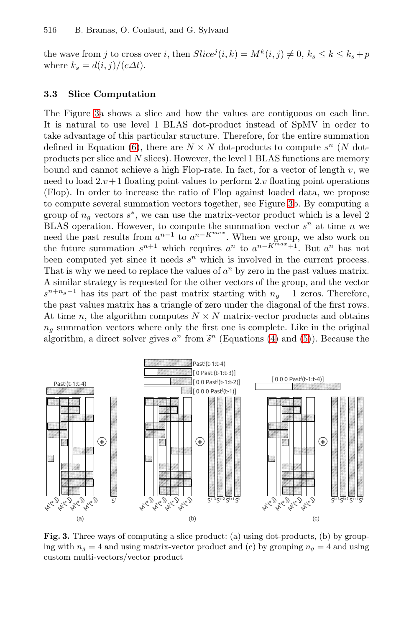the wave from j to cross over i, then  $Slice^{j}(i, k) = M^{k}(i, j) \neq 0, k_{s} \leq k \leq k_{s} + p$ wh[ere](#page-3-1)  $k_s = d(i, j)/(c\Delta t)$ .

## **3.3 Slice Computation**

<span id="page-5-0"></span>The Figure 3a shows a slice and how t[he](#page-5-0) values are contiguous on each line. It is natural to use level 1 BLAS dot-product instead of SpMV in order to take advantage of this particular structure. Therefore, for the entire summation defined in Equation (6), there are  $N \times N$  dot-products to compute s<sup>n</sup> (N dotproducts per slice and N slices). However, the level 1 BLAS functions are memory bound and cannot achieve a high Flop-rate. In fact, for a vector of length  $v$ , we need to load  $2 \nu + 1$  floating point values to perform  $2 \nu$  floating point operations (Flop). In order to increase the ratio of Flop against loaded data, we propose to compute several summation vectors together, see Figure 3b. By computing a group of  $n_g$  vectors  $s^*$ , we can use the matrix-vector product which is a level 2 BLAS operation. However, to compute the summation vector  $s^n$  at time n we need the past results from  $a^{n-1}$  to  $a^{n-K^{max}}$ . When we group, we also work on the future summ[a](#page-3-3)tion  $s^{n+1}$  which r[equ](#page-3-2)ires  $a^n$  to  $a^{n-K^{\overline{m}ax}+1}$ . But  $a^n$  has not been computed yet since it needs  $s<sup>n</sup>$  which is involved in the current process. That is why we need to replace the values of  $a^n$  by zero in the past values matrix. A similar strategy is requested for the other vectors of the group, and the vector  $s^{n+n_g-1}$  has its part of the past matrix starting with  $n_g-1$  zeros. Therefore, the past values matrix has a triangle of zero under the diagonal of the first rows. At time n, the algorithm computes  $N \times N$  matrix-vector products and obtains  $n_q$  summation vectors where only the first one is complete. Like in the original algorithm, a direct solver gives  $a^n$  from  $\tilde{s}^n$  (Equations (4) and (5)). Because the



Fig. 3. Three ways of computing a slice product: (a) using dot-products, (b) by grouping with  $n_g = 4$  and using matrix-vector product and (c) by grouping  $n_g = 4$  and using custom multi-vectors/vector product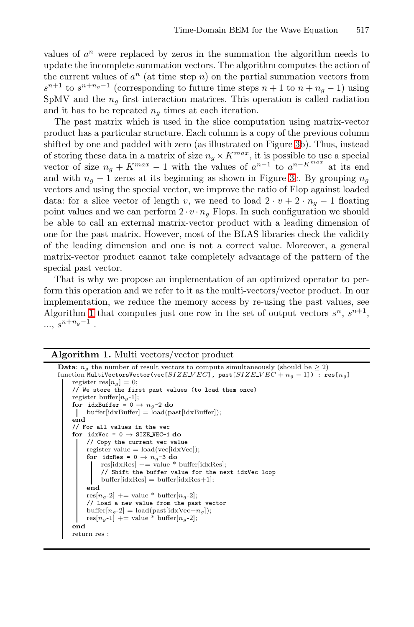values of  $a^n$  were replaced by zeros in the [s](#page-5-0)ummation the algorithm needs to update the incomplete summation vectors. The algorithm computes the action of the current values of  $a^n$  (at time step n) on the partial summation vectors from  $s^{n+1}$  to  $s^{n+n_g-1}$  (corresponding to future [ti](#page-5-0)me steps  $n+1$  to  $n+n_g-1$ ) using SpMV and the  $n_q$  first interaction matrices. This operation is called radiation and it has to be repeated  $n_q$  times at each iteration.

The past matrix which is used in the slice computation using matrix-vector product has a particular structure. Each column is a copy of the previous column shifted by one and padded with zero (as illustrated on Figure 3b). Thus, instead of storing these data in a matrix of size  $n_g \times K^{max}$ , it is possible to use a special vector of size  $n_g + K^{max} - 1$  with the values of  $a^{n-1}$  to  $a^{n-K^{max}}$  at its end and with  $n_q - 1$  zeros at its beginning as shown in Figure 3c. By grouping  $n_q$ vectors and using the special vector, we improve the ratio of Flop against loaded data: for a slice vector of length v, we need to load  $2 \cdot v + 2 \cdot n_q - 1$  floating point values and we can perform  $2 \cdot v \cdot n_q$  Flops. In such configuration we should be able to call an external matrix-vector product with a leading dimension of one for the past matrix. However, most of the BLAS libraries check the validity of the leading dimension and one is not a correct value. Moreover, a general matrix-vector product cannot take completely advantage of the pattern of the special past vector.

That is why we propose an implementation of an optimized operator to perform this operation and we refer to it as the multi-vectors/vector product. In our implementation, we reduce the memory access by re-using the past values, see Algorithm 1 that computes just one row in the set of output vectors  $s^n$ ,  $s^{n+1}$ ,  $\ldots$  s<sup>n+n<sub>g</sub>−1</sup>.

#### **Algorithm 1.** Multi vectors/vector product

```
Data: ng the number of result vectors to compute simultaneously (should be ≥ 2)
function MultiVectorsVector(vec[SIZE V EC], past[SIZE V EC + ng − 1]) : res[ng ]
     register res[n_a] = 0;// We store the first past values (to load them once)
     register buffer[ng-1];
     for idxBuffer = 0 \rightarrow n_g-2 do
      \blacksquare buffer[idxBuffer] = load(past[idxBuffer]);
     end
     // For all values in the vec
for idxVec = 0 → SIZE VEC-1 do
           // Copy the current vec value
           register value = load(vec[idxVec]);for idxRes = 0 \rightarrow n_g - 3 do
                 res[idxRes] += value * buffer[idxRes];
                 // Shift the buffer value for the next idxVec loop
                 buffer[idxRes] = buffer[idxRes+1];end
           res[n_g-2] += value * buffer[n_g-2];
           // Load a new value from the past vector<br>buffer[n_g-2] = load(past[idxVec+n_g]);<br>res[n_g-1] += value * buffer[n_g-2];
     end
     return res
```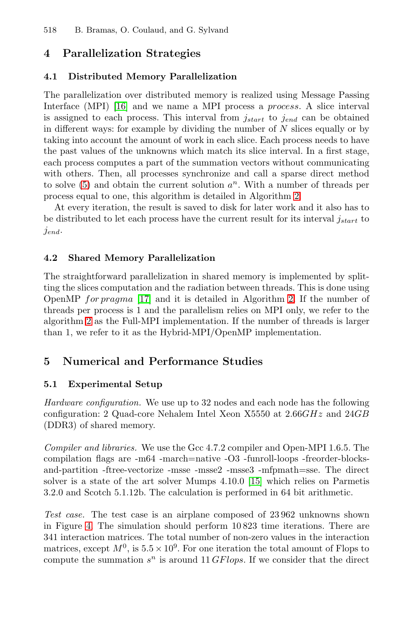## <span id="page-7-0"></span>**4 Parallelization Strategies**

## **4.1 Distributed Memory Parallelization**

The parallelization over distributed memory is realized using Message Passing Interface (MPI) [16] and we name a MP[I p](#page-8-0)rocess a *process*. A slice interval is assigned to each process. This interval from  $j_{start}$  to  $j_{end}$  can be obtained in different ways: for example by dividing the number of  $N$  slices equally or by taking into account the amount of work in each slice. Each process needs to have the past values of the unknowns which match its slice interval. In a first stage, each process computes a part of the summation vectors without communicating with others. Then, all processes synchronize and call a sparse direct method to solve (5) and obtain the current solution  $a^n$ . With a number of threads per process equal to one, this algorithm is detailed in Algorithm 2.

<span id="page-7-1"></span>At [ev](#page-12-3)ery iteration, the result is saved t[o](#page-8-0) disk for later work and it also has to be distributed to let each process have the current result for its interval  $j_{start}$  to jend.

## **4.2 Shared Memory Parallelization**

The straightforward parallelization in shared memory is implemented by splitting the slices computation and the radiation between threads. This is done using OpenMP for pragma [17] and it is detailed in Algorithm 2. If the number of threads per process is 1 and the parallelism relies on MPI only, we refer to the algorithm 2 as the Full-MPI implementation. If the number of threads is larger than 1, we refer to it as the Hybrid-MPI/OpenMP implementation.

# **5 Numerical and Performance Studies**

#### **5.1 Experimental Setup**

*Hardware configuration.* We use [up](#page-12-4) to 32 nodes and each node has the following configuration: 2 Quad-core Nehalem Intel Xeon X5550 at 2.66GHz and 24GB (DDR3) of shared memory.

*Compiler and libraries.* We use the Gcc 4.7.2 compiler and Open-MPI 1.6.5. The compilation flags are -m64 -march=native -O3 -funroll-loops -freorder-blocksand-partition -ftree-vectorize -msse -msse2 -msse3 -mfpmath=sse. The direct solver is a state of the art solver Mumps 4.10.0 [15] which relies on Parmetis 3.2.0 and Scotch 5.1.12b. The calculation is performed in 64 bit arithmetic.

*Test case.* The test case is an airplane composed of 23 962 unknowns shown in Figure 4. The simulation should perform 10 823 time iterations. There are 341 interaction matrices. The total number of non-zero values in the interaction matrices, except  $M^0$ , is  $5.5 \times 10^9$ . For one iteration the total amount of Flops to compute the summation  $s^n$  is around 11 GFlops. If we consider that the direct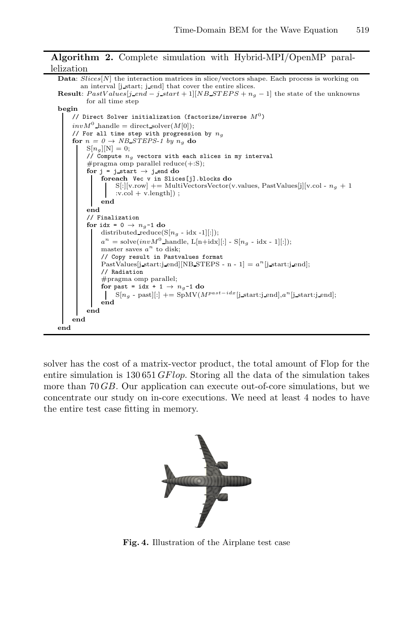**Algorithm 2.** Complete simulation with Hybrid-MPI/OpenMP parallelization



<span id="page-8-0"></span>solver has the cost of a matrix-vector product, the total amount of Flop for the entire simulation is  $130651$  GFlop. Storing all the data of the simulation takes more than 70 GB. Our application can execute out-of-core simulations, but we concentrate our study on in-core executions. We need at least 4 nodes to have the entire test case fitting in memory.



**Fig. 4.** Illustration of the Airplane test case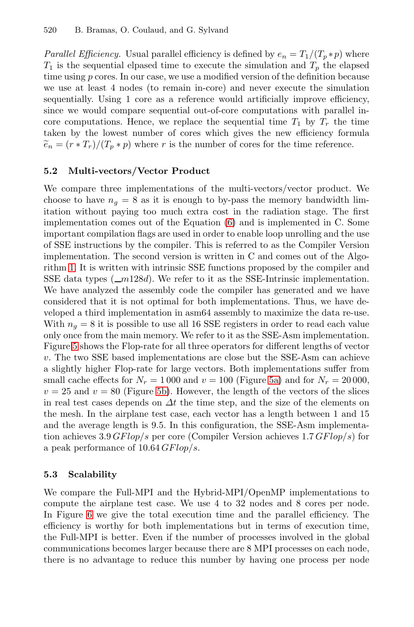*Parallel Efficiency.* Usual parallel efficiency is defined by  $e_n = T_1/(T_p * p)$  where  $T_1$  is the sequential elpased time to execute the simulation and  $T_p$  the elapsed time using p cores. In our case, we use a modified version of the definition because we use at least 4 nodes (to remain in-core) and never execute the simulation sequentially. Using 1 core as a reference would artificially improve efficiency, since we would compare sequential out-of-core computations with parallel incore computations. Hence, we replace the sequential time  $T_1$  by  $T_r$  the time taken by the lowest num[ber](#page-3-1) of cores which gives the new efficiency formula  $\widetilde{e}_n = (r * T_r)/(T_p * p)$  where r is the number of cores for the time reference.

## **5.2 Multi-vectors/Vector Product**

We compare three implementations of the multi-vectors/vector product. We choose to have  $n_q = 8$  as it is enough to by-pass the memory bandwidth limitation without paying too much extra cost in the radiation stage. The first implementation comes out of the Equation (6) and is implemented in C. Some important compilation flags are used in order to enable loop unrolling and the use of SSE instructions by the compiler. This is referred to as the Compiler Version implementation. The second version is written in C and comes out of the Algorithm 1. It is written with intrinsic SSE functions proposed by the compiler and SSE data types  $(-m128d)$ . We refer to it as the SSE-Intrinsic implementation. We have analyzed the assembly cod[e th](#page-10-0)e compiler has generated and we have considere[d th](#page-10-0)at it is not optimal for both implementations. Thus, we have developed a third implementation in asm64 assembly to maximize the data re-use. With  $n_q = 8$  it is possible to use all 16 SSE registers in order to read each value only once from the main memory. We refer to it as the SSE-Asm implementation. Figure 5 shows the Flop-rate for all three operators for different lengths of vector v. The two SSE based implementations are close but the SSE-Asm can achieve a slightly higher Flop-rate for large vectors. Both implementations suffer from small cache effects for  $N_r = 1000$  and  $v = 100$  (Figure 5a) and for  $N_r = 20000$ ,  $v = 25$  and  $v = 80$  (Figure 5b). However, the length of the vectors of the slices in real test cases depends on  $\Delta t$  the time step, and the size of the elements on the mesh. In the airplane test case, each vector has a length between 1 and 15 and the average length is 9.5. In this configuration, the SSE-Asm implementation achieves  $3.9 \text{GF} \text{loop}/s$  per core (Compiler Version achieves 1.7  $\text{GF} \text{loop}/s$ ) for a peak performance of 10.64 GFlop/s.

## **5.3 Scalability**

We compare the Full-MPI and the Hybrid-MPI/OpenMP implementations to compute the airplane test case. We use 4 to 32 nodes and 8 cores per node. In Figure 6 we give the total execution time and the parallel efficiency. The efficiency is worthy for both implementations but in terms of execution time, the Full-MPI is better. Even if the number of processes involved in the global communications becomes larger because there are 8 MPI processes on each node, there is no advantage to reduce this number by having one process per node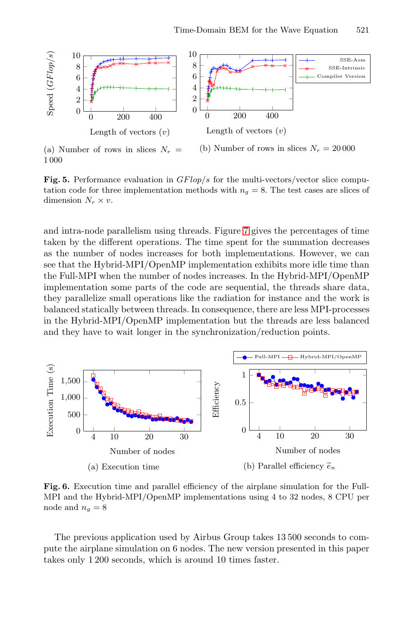<span id="page-10-0"></span>![](_page_10_Figure_1.jpeg)

(a) Number of rows in slices  $N_r =$  $N_r =$ 1 000 (b) Number of rows in slices  $N_r = 20000$ 

**Fig. 5.** Performance evaluation in  $GFlop/s$  for the multi-vectors/vector slice computation code for three implementation methods with  $n_q = 8$ . The test cases are slices of dimension  $N_r \times v$ .

and intra-node parallelism using threads. Figure 7 gives the percentages of time taken by the different operations. The time spent for the summation decreases as the number of nodes increases for both implementations. However, we can see that the Hybrid-MPI/OpenMP implementation exhibits more idle time than the Full-MPI when the number of nodes increases. In the Hybrid-MPI/OpenMP implementation some parts of the code are sequential, the threads share data, they parallelize small operations like the radiation for instance and the work is balanced statically between threads. In consequence, there are less MPI-processes in the Hybrid-MPI/OpenMP implementation but the threads are less balanced and they have to wait longer in the synchronization/reduction points.

![](_page_10_Figure_5.jpeg)

**Fig. 6.** Execution time and parallel efficiency of the airplane simulation for the Full-MPI and the Hybrid-MPI/OpenMP implementations using 4 to 32 nodes, 8 CPU per node and  $n_q = 8$ 

The previous application used by Airbus Group takes 13 500 seconds to compute the airplane simulation on 6 nodes. The new version presented in this paper takes only 1 200 seconds, which is around 10 times faster.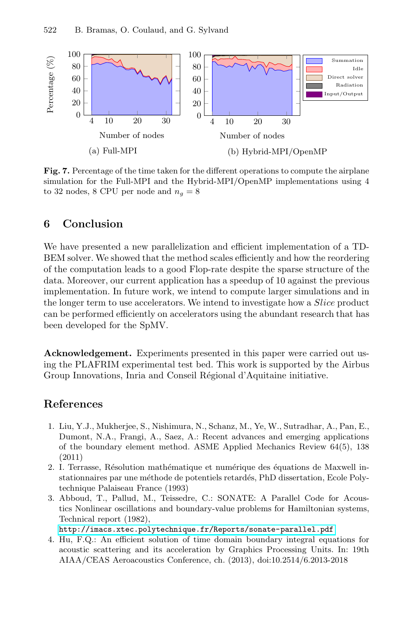<span id="page-11-1"></span>![](_page_11_Figure_1.jpeg)

**Fig. 7.** Percentage of the time taken for the different operations to compute the airplane simulation for the Full-MPI and the Hybrid-MPI/OpenMP implementations using 4 to 32 nodes, 8 CPU per node and  $n_q = 8$ 

## **6 Conclusion**

<span id="page-11-0"></span>We have presented a new parallelization and efficient implementation of a TD-BEM solver. We showed that the method scales efficiently and how the reordering of the computation leads to a good Flop-rate despite the sparse structure of the data. Moreover, our current application has a speedup of 10 against the previous implementation. In future work, we intend to compute larger simulations and in the longer term to use accelerators. We intend to investigate how a Slice product can be performed efficiently on accelerators using the abundant research that has been developed for the SpMV.

**Acknowledgement.** Experiments presented in this paper were carried out using the PLAFRIM experimental test bed. This work is supported by the Airbus Group Innovations, Inria and Conseil Régional d'Aquitaine initiative.

# **References**

- 1. Liu, Y.J., Mukherjee, S., Nishimura, N., Schanz, M., Ye, W., Sutradhar, A., Pan, E., Dumont, N.A., Frangi, A., Saez, A.: Recent advances and emerging applications [of the boundary element method. ASME Applied M](http://imacs.xtec.polytechnique.fr/Reports/sonate-parallel.pdf)echanics Review 64(5), 138 (2011)
- 2. I. Terrasse, Résolution mathématique et numérique des équations de Maxwell instationnaires par une méthode de potentiels retardés, PhD dissertation, Ecole Polytechnique Palaiseau France (1993)
- 3. Abboud, T., Pallud, M., Teissedre, C.: SONATE: A Parallel Code for Acoustics Nonlinear oscillations and boundary-value problems for Hamiltonian systems, Technical report (1982),

http://imacs.xtec.polytechnique.fr/Reports/sonate-parallel.pdf

4. Hu, F.Q.: An efficient solution of time domain boundary integral equations for acoustic scattering and its acceleration by Graphics Processing Units. In: 19th AIAA/CEAS Aeroacoustics Conference, ch. (2013), doi:10.2514/6.2013-2018